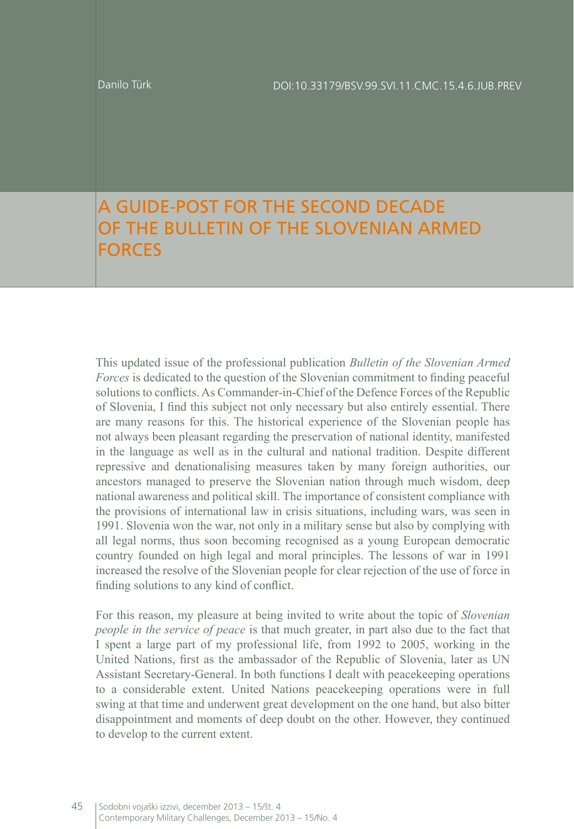## A GUIDE-POST FOR THE SECOND DECADE OF THE BULLETIN OF THE SLOVENIAN ARMED FORCES

This updated issue of the professional publication *Bulletin of the Slovenian Armed Forces* is dedicated to the question of the Slovenian commitment to finding peaceful solutions to conflicts. As Commander-in-Chief of the Defence Forces of the Republic of Slovenia, I find this subject not only necessary but also entirely essential. There are many reasons for this. The historical experience of the Slovenian people has not always been pleasant regarding the preservation of national identity, manifested in the language as well as in the cultural and national tradition. Despite different repressive and denationalising measures taken by many foreign authorities, our ancestors managed to preserve the Slovenian nation through much wisdom, deep national awareness and political skill. The importance of consistent compliance with the provisions of international law in crisis situations, including wars, was seen in 1991. Slovenia won the war, not only in a military sense but also by complying with all legal norms, thus soon becoming recognised as a young European democratic country founded on high legal and moral principles. The lessons of war in 1991 increased the resolve of the Slovenian people for clear rejection of the use of force in finding solutions to any kind of conflict.

For this reason, my pleasure at being invited to write about the topic of *Slovenian people in the service of peace* is that much greater, in part also due to the fact that I spent a large part of my professional life, from 1992 to 2005, working in the United Nations, first as the ambassador of the Republic of Slovenia, later as UN Assistant Secretary-General. In both functions I dealt with peacekeeping operations to a considerable extent. United Nations peacekeeping operations were in full swing at that time and underwent great development on the one hand, but also bitter disappointment and moments of deep doubt on the other. However, they continued to develop to the current extent.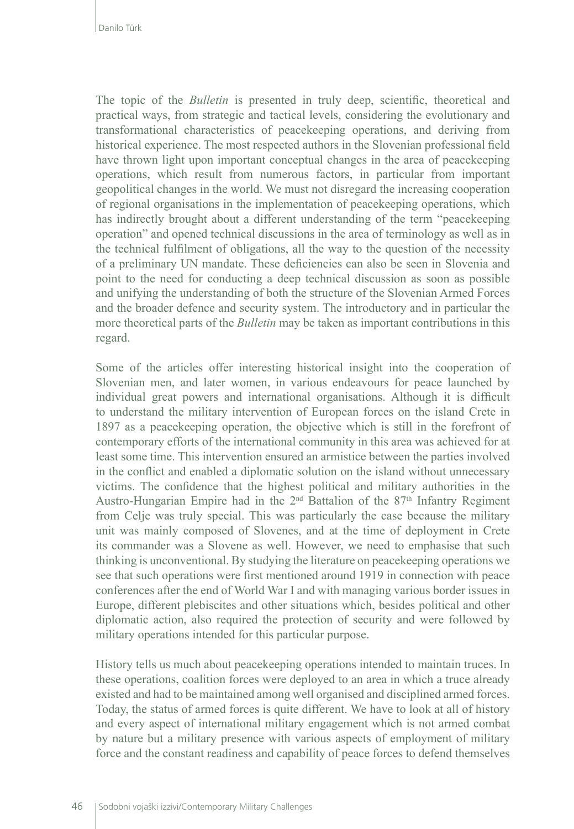The topic of the *Bulletin* is presented in truly deep, scientific, theoretical and practical ways, from strategic and tactical levels, considering the evolutionary and transformational characteristics of peacekeeping operations, and deriving from historical experience. The most respected authors in the Slovenian professional field have thrown light upon important conceptual changes in the area of peacekeeping operations, which result from numerous factors, in particular from important geopolitical changes in the world. We must not disregard the increasing cooperation of regional organisations in the implementation of peacekeeping operations, which has indirectly brought about a different understanding of the term "peacekeeping operation" and opened technical discussions in the area of terminology as well as in the technical fulfilment of obligations, all the way to the question of the necessity of a preliminary UN mandate. These deficiencies can also be seen in Slovenia and point to the need for conducting a deep technical discussion as soon as possible and unifying the understanding of both the structure of the Slovenian Armed Forces and the broader defence and security system. The introductory and in particular the more theoretical parts of the *Bulletin* may be taken as important contributions in this regard.

Some of the articles offer interesting historical insight into the cooperation of Slovenian men, and later women, in various endeavours for peace launched by individual great powers and international organisations. Although it is difficult to understand the military intervention of European forces on the island Crete in 1897 as a peacekeeping operation, the objective which is still in the forefront of contemporary efforts of the international community in this area was achieved for at least some time. This intervention ensured an armistice between the parties involved in the conflict and enabled a diplomatic solution on the island without unnecessary victims. The confidence that the highest political and military authorities in the Austro-Hungarian Empire had in the  $2<sup>nd</sup>$  Battalion of the 87<sup>th</sup> Infantry Regiment from Celje was truly special. This was particularly the case because the military unit was mainly composed of Slovenes, and at the time of deployment in Crete its commander was a Slovene as well. However, we need to emphasise that such thinking is unconventional. By studying the literature on peacekeeping operations we see that such operations were first mentioned around 1919 in connection with peace conferences after the end of World War I and with managing various border issues in Europe, different plebiscites and other situations which, besides political and other diplomatic action, also required the protection of security and were followed by military operations intended for this particular purpose.

History tells us much about peacekeeping operations intended to maintain truces. In these operations, coalition forces were deployed to an area in which a truce already existed and had to be maintained among well organised and disciplined armed forces. Today, the status of armed forces is quite different. We have to look at all of history and every aspect of international military engagement which is not armed combat by nature but a military presence with various aspects of employment of military force and the constant readiness and capability of peace forces to defend themselves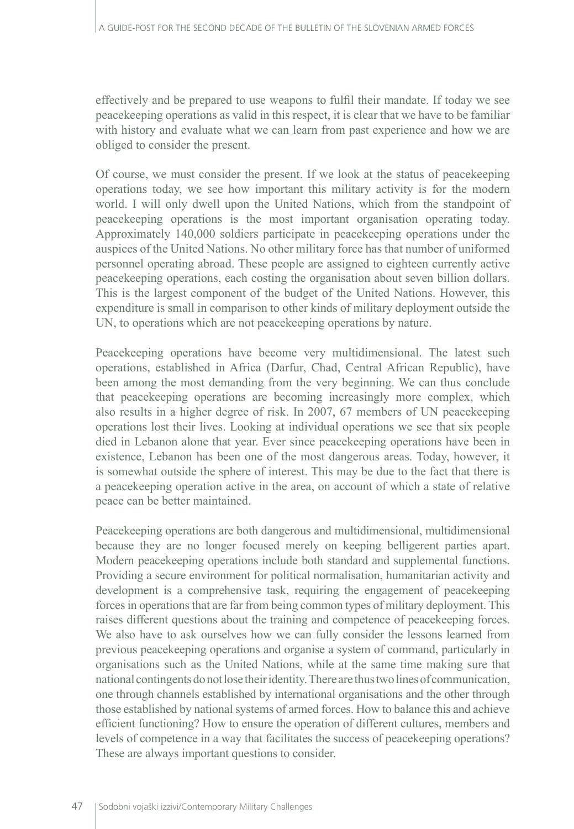effectively and be prepared to use weapons to fulfil their mandate. If today we see peacekeeping operations as valid in this respect, it is clear that we have to be familiar with history and evaluate what we can learn from past experience and how we are obliged to consider the present.

Of course, we must consider the present. If we look at the status of peacekeeping operations today, we see how important this military activity is for the modern world. I will only dwell upon the United Nations, which from the standpoint of peacekeeping operations is the most important organisation operating today. Approximately 140,000 soldiers participate in peacekeeping operations under the auspices of the United Nations. No other military force has that number of uniformed personnel operating abroad. These people are assigned to eighteen currently active peacekeeping operations, each costing the organisation about seven billion dollars. This is the largest component of the budget of the United Nations. However, this expenditure is small in comparison to other kinds of military deployment outside the UN, to operations which are not peacekeeping operations by nature.

Peacekeeping operations have become very multidimensional. The latest such operations, established in Africa (Darfur, Chad, Central African Republic), have been among the most demanding from the very beginning. We can thus conclude that peacekeeping operations are becoming increasingly more complex, which also results in a higher degree of risk. In 2007, 67 members of UN peacekeeping operations lost their lives. Looking at individual operations we see that six people died in Lebanon alone that year. Ever since peacekeeping operations have been in existence, Lebanon has been one of the most dangerous areas. Today, however, it is somewhat outside the sphere of interest. This may be due to the fact that there is a peacekeeping operation active in the area, on account of which a state of relative peace can be better maintained.

Peacekeeping operations are both dangerous and multidimensional, multidimensional because they are no longer focused merely on keeping belligerent parties apart. Modern peacekeeping operations include both standard and supplemental functions. Providing a secure environment for political normalisation, humanitarian activity and development is a comprehensive task, requiring the engagement of peacekeeping forces in operations that are far from being common types of military deployment. This raises different questions about the training and competence of peacekeeping forces. We also have to ask ourselves how we can fully consider the lessons learned from previous peacekeeping operations and organise a system of command, particularly in organisations such as the United Nations, while at the same time making sure that national contingents do not lose their identity. There are thus two lines of communication, one through channels established by international organisations and the other through those established by national systems of armed forces. How to balance this and achieve efficient functioning? How to ensure the operation of different cultures, members and levels of competence in a way that facilitates the success of peacekeeping operations? These are always important questions to consider.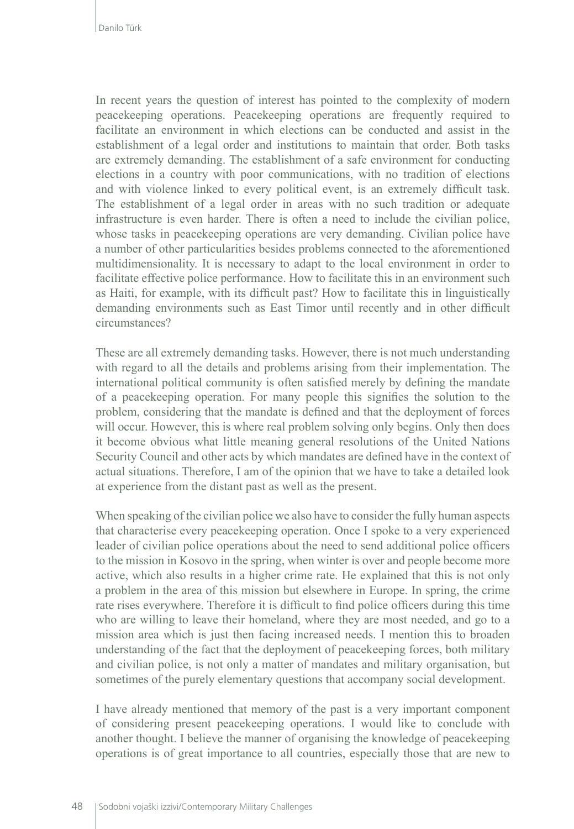In recent years the question of interest has pointed to the complexity of modern peacekeeping operations. Peacekeeping operations are frequently required to facilitate an environment in which elections can be conducted and assist in the establishment of a legal order and institutions to maintain that order. Both tasks are extremely demanding. The establishment of a safe environment for conducting elections in a country with poor communications, with no tradition of elections and with violence linked to every political event, is an extremely difficult task. The establishment of a legal order in areas with no such tradition or adequate infrastructure is even harder. There is often a need to include the civilian police, whose tasks in peacekeeping operations are very demanding. Civilian police have a number of other particularities besides problems connected to the aforementioned multidimensionality. It is necessary to adapt to the local environment in order to facilitate effective police performance. How to facilitate this in an environment such as Haiti, for example, with its difficult past? How to facilitate this in linguistically demanding environments such as East Timor until recently and in other difficult circumstances?

These are all extremely demanding tasks. However, there is not much understanding with regard to all the details and problems arising from their implementation. The international political community is often satisfied merely by defining the mandate of a peacekeeping operation. For many people this signifies the solution to the problem, considering that the mandate is defined and that the deployment of forces will occur. However, this is where real problem solving only begins. Only then does it become obvious what little meaning general resolutions of the United Nations Security Council and other acts by which mandates are defined have in the context of actual situations. Therefore, I am of the opinion that we have to take a detailed look at experience from the distant past as well as the present.

When speaking of the civilian police we also have to consider the fully human aspects that characterise every peacekeeping operation. Once I spoke to a very experienced leader of civilian police operations about the need to send additional police officers to the mission in Kosovo in the spring, when winter is over and people become more active, which also results in a higher crime rate. He explained that this is not only a problem in the area of this mission but elsewhere in Europe. In spring, the crime rate rises everywhere. Therefore it is difficult to find police officers during this time who are willing to leave their homeland, where they are most needed, and go to a mission area which is just then facing increased needs. I mention this to broaden understanding of the fact that the deployment of peacekeeping forces, both military and civilian police, is not only a matter of mandates and military organisation, but sometimes of the purely elementary questions that accompany social development.

I have already mentioned that memory of the past is a very important component of considering present peacekeeping operations. I would like to conclude with another thought. I believe the manner of organising the knowledge of peacekeeping operations is of great importance to all countries, especially those that are new to